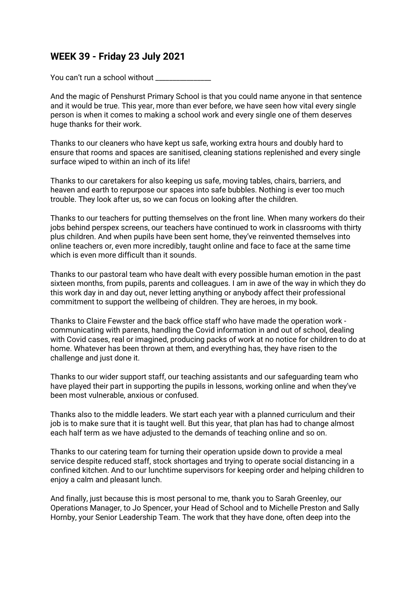# **WEEK 39 - Friday 23 July 2021**

You can't run a school without \_\_\_\_\_\_\_\_\_

And the magic of Penshurst Primary School is that you could name anyone in that sentence and it would be true. This year, more than ever before, we have seen how vital every single person is when it comes to making a school work and every single one of them deserves huge thanks for their work.

Thanks to our cleaners who have kept us safe, working extra hours and doubly hard to ensure that rooms and spaces are sanitised, cleaning stations replenished and every single surface wiped to within an inch of its life!

Thanks to our caretakers for also keeping us safe, moving tables, chairs, barriers, and heaven and earth to repurpose our spaces into safe bubbles. Nothing is ever too much trouble. They look after us, so we can focus on looking after the children.

Thanks to our teachers for putting themselves on the front line. When many workers do their jobs behind perspex screens, our teachers have continued to work in classrooms with thirty plus children. And when pupils have been sent home, they've reinvented themselves into online teachers or, even more incredibly, taught online and face to face at the same time which is even more difficult than it sounds.

Thanks to our pastoral team who have dealt with every possible human emotion in the past sixteen months, from pupils, parents and colleagues. I am in awe of the way in which they do this work day in and day out, never letting anything or anybody affect their professional commitment to support the wellbeing of children. They are heroes, in my book.

Thanks to Claire Fewster and the back office staff who have made the operation work communicating with parents, handling the Covid information in and out of school, dealing with Covid cases, real or imagined, producing packs of work at no notice for children to do at home. Whatever has been thrown at them, and everything has, they have risen to the challenge and just done it.

Thanks to our wider support staff, our teaching assistants and our safeguarding team who have played their part in supporting the pupils in lessons, working online and when they've been most vulnerable, anxious or confused.

Thanks also to the middle leaders. We start each year with a planned curriculum and their job is to make sure that it is taught well. But this year, that plan has had to change almost each half term as we have adjusted to the demands of teaching online and so on.

Thanks to our catering team for turning their operation upside down to provide a meal service despite reduced staff, stock shortages and trying to operate social distancing in a confined kitchen. And to our lunchtime supervisors for keeping order and helping children to enjoy a calm and pleasant lunch.

And finally, just because this is most personal to me, thank you to Sarah Greenley, our Operations Manager, to Jo Spencer, your Head of School and to Michelle Preston and Sally Hornby, your Senior Leadership Team. The work that they have done, often deep into the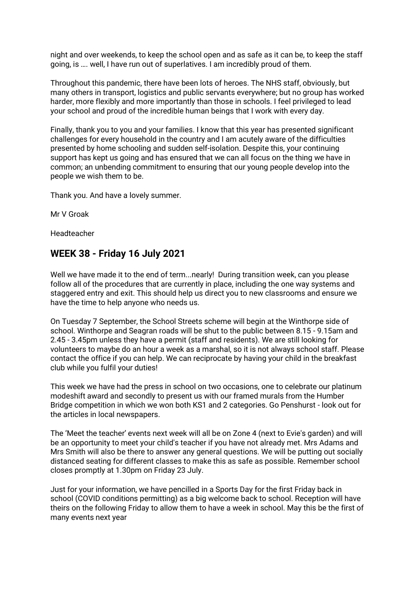night and over weekends, to keep the school open and as safe as it can be, to keep the staff going, is …. well, I have run out of superlatives. I am incredibly proud of them.

Throughout this pandemic, there have been lots of heroes. The NHS staff, obviously, but many others in transport, logistics and public servants everywhere; but no group has worked harder, more flexibly and more importantly than those in schools. I feel privileged to lead your school and proud of the incredible human beings that I work with every day.

Finally, thank you to you and your families. I know that this year has presented significant challenges for every household in the country and I am acutely aware of the difficulties presented by home schooling and sudden self-isolation. Despite this, your continuing support has kept us going and has ensured that we can all focus on the thing we have in common; an unbending commitment to ensuring that our young people develop into the people we wish them to be.

Thank you. And have a lovely summer.

Mr V Groak

Headteacher

# **WEEK 38 - Friday 16 July 2021**

Well we have made it to the end of term...nearly! During transition week, can you please follow all of the procedures that are currently in place, including the one way systems and staggered entry and exit. This should help us direct you to new classrooms and ensure we have the time to help anyone who needs us.

On Tuesday 7 September, the School Streets scheme will begin at the Winthorpe side of school. Winthorpe and Seagran roads will be shut to the public between 8.15 - 9.15am and 2.45 - 3.45pm unless they have a permit (staff and residents). We are still looking for volunteers to maybe do an hour a week as a marshal, so it is not always school staff. Please contact the office if you can help. We can reciprocate by having your child in the breakfast club while you fulfil your duties!

This week we have had the press in school on two occasions, one to celebrate our platinum modeshift award and secondly to present us with our framed murals from the Humber Bridge competition in which we won both KS1 and 2 categories. Go Penshurst - look out for the articles in local newspapers.

The 'Meet the teacher' events next week will all be on Zone 4 (next to Evie's garden) and will be an opportunity to meet your child's teacher if you have not already met. Mrs Adams and Mrs Smith will also be there to answer any general questions. We will be putting out socially distanced seating for different classes to make this as safe as possible. Remember school closes promptly at 1.30pm on Friday 23 July.

Just for your information, we have pencilled in a Sports Day for the first Friday back in school (COVID conditions permitting) as a big welcome back to school. Reception will have theirs on the following Friday to allow them to have a week in school. May this be the first of many events next year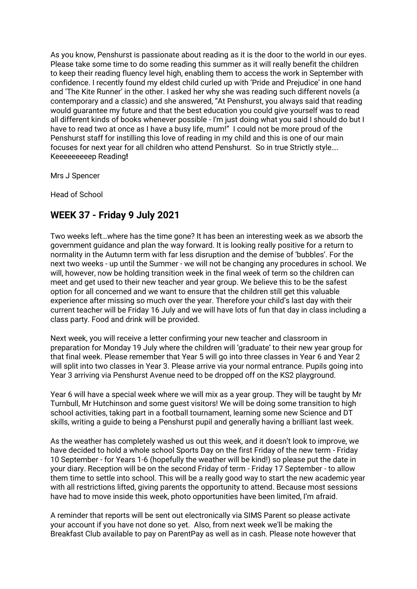As you know, Penshurst is passionate about reading as it is the door to the world in our eyes. Please take some time to do some reading this summer as it will really benefit the children to keep their reading fluency level high, enabling them to access the work in September with confidence. I recently found my eldest child curled up with 'Pride and Prejudice' in one hand and 'The Kite Runner' in the other. I asked her why she was reading such different novels (a contemporary and a classic) and she answered, "At Penshurst, you always said that reading would guarantee my future and that the best education you could give yourself was to read all different kinds of books whenever possible - I'm just doing what you said I should do but I have to read two at once as I have a busy life, mum!" I could not be more proud of the Penshurst staff for instilling this love of reading in my child and this is one of our main focuses for next year for all children who attend Penshurst. So in true Strictly style…. Keeeeeeeeep Reading**!**

Mrs J Spencer

Head of School

# **WEEK 37 - Friday 9 July 2021**

Two weeks left…where has the time gone? It has been an interesting week as we absorb the government guidance and plan the way forward. It is looking really positive for a return to normality in the Autumn term with far less disruption and the demise of 'bubbles'. For the next two weeks - up until the Summer - we will not be changing any procedures in school. We will, however, now be holding transition week in the final week of term so the children can meet and get used to their new teacher and year group. We believe this to be the safest option for all concerned and we want to ensure that the children still get this valuable experience after missing so much over the year. Therefore your child's last day with their current teacher will be Friday 16 July and we will have lots of fun that day in class including a class party. Food and drink will be provided.

Next week, you will receive a letter confirming your new teacher and classroom in preparation for Monday 19 July where the children will 'graduate' to their new year group for that final week. Please remember that Year 5 will go into three classes in Year 6 and Year 2 will split into two classes in Year 3. Please arrive via your normal entrance. Pupils going into Year 3 arriving via Penshurst Avenue need to be dropped off on the KS2 playground.

Year 6 will have a special week where we will mix as a year group. They will be taught by Mr Turnbull, Mr Hutchinson and some guest visitors! We will be doing some transition to high school activities, taking part in a football tournament, learning some new Science and DT skills, writing a guide to being a Penshurst pupil and generally having a brilliant last week.

As the weather has completely washed us out this week, and it doesn't look to improve, we have decided to hold a whole school Sports Day on the first Friday of the new term - Friday 10 September - for Years 1-6 (hopefully the weather will be kind!) so please put the date in your diary. Reception will be on the second Friday of term - Friday 17 September - to allow them time to settle into school. This will be a really good way to start the new academic year with all restrictions lifted, giving parents the opportunity to attend. Because most sessions have had to move inside this week, photo opportunities have been limited, I'm afraid.

A reminder that reports will be sent out electronically via SIMS Parent so please activate your account if you have not done so yet. Also, from next week we'll be making the Breakfast Club available to pay on ParentPay as well as in cash. Please note however that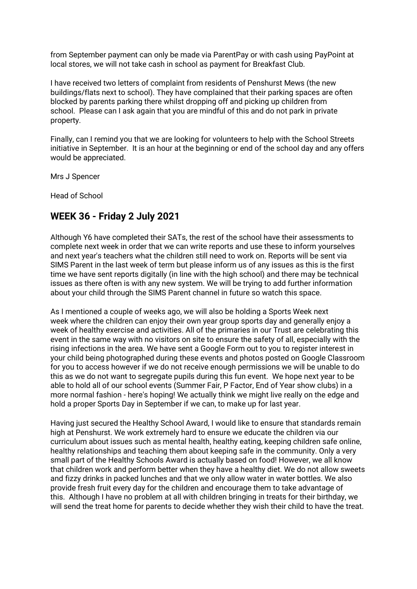from September payment can only be made via ParentPay or with cash using PayPoint at local stores, we will not take cash in school as payment for Breakfast Club.

I have received two letters of complaint from residents of Penshurst Mews (the new buildings/flats next to school). They have complained that their parking spaces are often blocked by parents parking there whilst dropping off and picking up children from school. Please can I ask again that you are mindful of this and do not park in private property.

Finally, can I remind you that we are looking for volunteers to help with the School Streets initiative in September. It is an hour at the beginning or end of the school day and any offers would be appreciated.

Mrs J Spencer

Head of School

#### **WEEK 36 - Friday 2 July 2021**

Although Y6 have completed their SATs, the rest of the school have their assessments to complete next week in order that we can write reports and use these to inform yourselves and next year's teachers what the children still need to work on. Reports will be sent via SIMS Parent in the last week of term but please inform us of any issues as this is the first time we have sent reports digitally (in line with the high school) and there may be technical issues as there often is with any new system. We will be trying to add further information about your child through the SIMS Parent channel in future so watch this space.

As I mentioned a couple of weeks ago, we will also be holding a Sports Week next week where the children can enjoy their own year group sports day and generally enjoy a week of healthy exercise and activities. All of the primaries in our Trust are celebrating this event in the same way with no visitors on site to ensure the safety of all, especially with the rising infections in the area. We have sent a Google Form out to you to register interest in your child being photographed during these events and photos posted on Google Classroom for you to access however if we do not receive enough permissions we will be unable to do this as we do not want to segregate pupils during this fun event. We hope next year to be able to hold all of our school events (Summer Fair, P Factor, End of Year show clubs) in a more normal fashion - here's hoping! We actually think we might live really on the edge and hold a proper Sports Day in September if we can, to make up for last year.

Having just secured the Healthy School Award, I would like to ensure that standards remain high at Penshurst. We work extremely hard to ensure we educate the children via our curriculum about issues such as mental health, healthy eating, keeping children safe online, healthy relationships and teaching them about keeping safe in the community. Only a very small part of the Healthy Schools Award is actually based on food! However, we all know that children work and perform better when they have a healthy diet. We do not allow sweets and fizzy drinks in packed lunches and that we only allow water in water bottles. We also provide fresh fruit every day for the children and encourage them to take advantage of this. Although I have no problem at all with children bringing in treats for their birthday, we will send the treat home for parents to decide whether they wish their child to have the treat.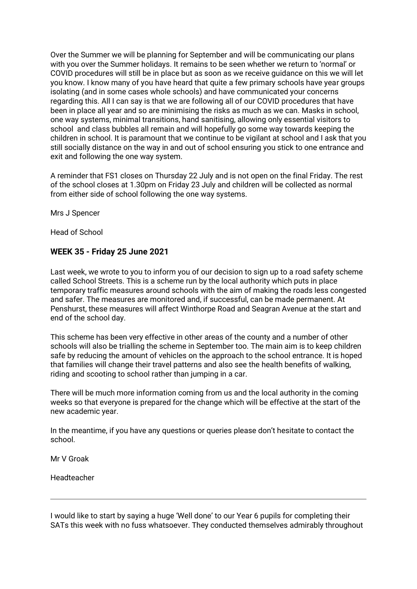Over the Summer we will be planning for September and will be communicating our plans with you over the Summer holidays. It remains to be seen whether we return to 'normal' or COVID procedures will still be in place but as soon as we receive guidance on this we will let you know. I know many of you have heard that quite a few primary schools have year groups isolating (and in some cases whole schools) and have communicated your concerns regarding this. All I can say is that we are following all of our COVID procedures that have been in place all year and so are minimising the risks as much as we can. Masks in school, one way systems, minimal transitions, hand sanitising, allowing only essential visitors to school and class bubbles all remain and will hopefully go some way towards keeping the children in school. It is paramount that we continue to be vigilant at school and I ask that you still socially distance on the way in and out of school ensuring you stick to one entrance and exit and following the one way system.

A reminder that FS1 closes on Thursday 22 July and is not open on the final Friday. The rest of the school closes at 1.30pm on Friday 23 July and children will be collected as normal from either side of school following the one way systems.

Mrs J Spencer

Head of School

#### **WEEK 35 - Friday 25 June 2021**

Last week, we wrote to you to inform you of our decision to sign up to a road safety scheme called School Streets. This is a scheme run by the local authority which puts in place temporary traffic measures around schools with the aim of making the roads less congested and safer. The measures are monitored and, if successful, can be made permanent. At Penshurst, these measures will affect Winthorpe Road and Seagran Avenue at the start and end of the school day.

This scheme has been very effective in other areas of the county and a number of other schools will also be trialling the scheme in September too. The main aim is to keep children safe by reducing the amount of vehicles on the approach to the school entrance. It is hoped that families will change their travel patterns and also see the health benefits of walking, riding and scooting to school rather than jumping in a car.

There will be much more information coming from us and the local authority in the coming weeks so that everyone is prepared for the change which will be effective at the start of the new academic year.

In the meantime, if you have any questions or queries please don't hesitate to contact the school.

Mr V Groak

Headteacher

I would like to start by saying a huge 'Well done' to our Year 6 pupils for completing their SATs this week with no fuss whatsoever. They conducted themselves admirably throughout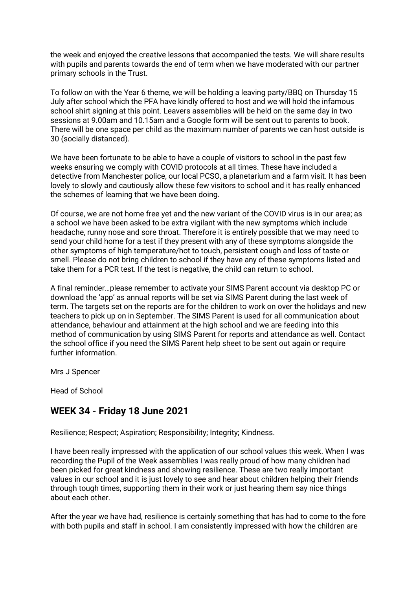the week and enjoyed the creative lessons that accompanied the tests. We will share results with pupils and parents towards the end of term when we have moderated with our partner primary schools in the Trust.

To follow on with the Year 6 theme, we will be holding a leaving party/BBQ on Thursday 15 July after school which the PFA have kindly offered to host and we will hold the infamous school shirt signing at this point. Leavers assemblies will be held on the same day in two sessions at 9.00am and 10.15am and a Google form will be sent out to parents to book. There will be one space per child as the maximum number of parents we can host outside is 30 (socially distanced).

We have been fortunate to be able to have a couple of visitors to school in the past few weeks ensuring we comply with COVID protocols at all times. These have included a detective from Manchester police, our local PCSO, a planetarium and a farm visit. It has been lovely to slowly and cautiously allow these few visitors to school and it has really enhanced the schemes of learning that we have been doing.

Of course, we are not home free yet and the new variant of the COVID virus is in our area; as a school we have been asked to be extra vigilant with the new symptoms which include headache, runny nose and sore throat. Therefore it is entirely possible that we may need to send your child home for a test if they present with any of these symptoms alongside the other symptoms of high temperature/hot to touch, persistent cough and loss of taste or smell. Please do not bring children to school if they have any of these symptoms listed and take them for a PCR test. If the test is negative, the child can return to school.

A final reminder…please remember to activate your SIMS Parent account via desktop PC or download the 'app' as annual reports will be set via SIMS Parent during the last week of term. The targets set on the reports are for the children to work on over the holidays and new teachers to pick up on in September. The SIMS Parent is used for all communication about attendance, behaviour and attainment at the high school and we are feeding into this method of communication by using SIMS Parent for reports and attendance as well. Contact the school office if you need the SIMS Parent help sheet to be sent out again or require further information.

Mrs J Spencer

Head of School

### **WEEK 34 - Friday 18 June 2021**

Resilience; Respect; Aspiration; Responsibility; Integrity; Kindness.

I have been really impressed with the application of our school values this week. When I was recording the Pupil of the Week assemblies I was really proud of how many children had been picked for great kindness and showing resilience. These are two really important values in our school and it is just lovely to see and hear about children helping their friends through tough times, supporting them in their work or just hearing them say nice things about each other.

After the year we have had, resilience is certainly something that has had to come to the fore with both pupils and staff in school. I am consistently impressed with how the children are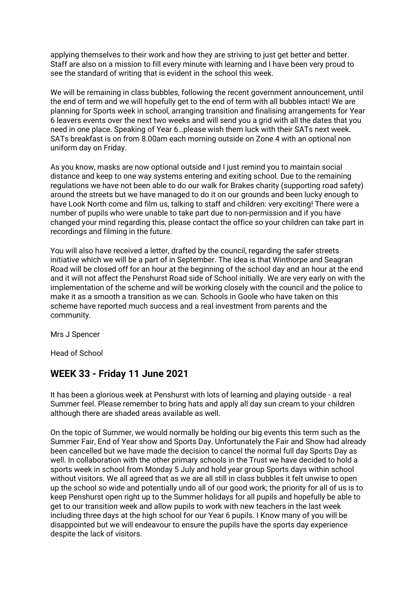applying themselves to their work and how they are striving to just get better and better. Staff are also on a mission to fill every minute with learning and I have been very proud to see the standard of writing that is evident in the school this week.

We will be remaining in class bubbles, following the recent government announcement, until the end of term and we will hopefully get to the end of term with all bubbles intact! We are planning for Sports week in school, arranging transition and finalising arrangements for Year 6 leavers events over the next two weeks and will send you a grid with all the dates that you need in one place. Speaking of Year 6…please wish them luck with their SATs next week. SATs breakfast is on from 8.00am each morning outside on Zone 4 with an optional non uniform day on Friday.

As you know, masks are now optional outside and I just remind you to maintain social distance and keep to one way systems entering and exiting school. Due to the remaining regulations we have not been able to do our walk for Brakes charity (supporting road safety) around the streets but we have managed to do it on our grounds and been lucky enough to have Look North come and film us, talking to staff and children: very exciting! There were a number of pupils who were unable to take part due to non-permission and if you have changed your mind regarding this, please contact the office so your children can take part in recordings and filming in the future.

You will also have received a letter, drafted by the council, regarding the safer streets initiative which we will be a part of in September. The idea is that Winthorpe and Seagran Road will be closed off for an hour at the beginning of the school day and an hour at the end and it will not affect the Penshurst Road side of School initially. We are very early on with the implementation of the scheme and will be working closely with the council and the police to make it as a smooth a transition as we can. Schools in Goole who have taken on this scheme have reported much success and a real investment from parents and the community.

Mrs J Spencer

Head of School

### **WEEK 33 - Friday 11 June 2021**

It has been a glorious week at Penshurst with lots of learning and playing outside - a real Summer feel. Please remember to bring hats and apply all day sun cream to your children although there are shaded areas available as well.

On the topic of Summer, we would normally be holding our big events this term such as the Summer Fair, End of Year show and Sports Day. Unfortunately the Fair and Show had already been cancelled but we have made the decision to cancel the normal full day Sports Day as well. In collaboration with the other primary schools in the Trust we have decided to hold a sports week in school from Monday 5 July and hold year group Sports days within school without visitors. We all agreed that as we are all still in class bubbles it felt unwise to open up the school so wide and potentially undo all of our good work; the priority for all of us is to keep Penshurst open right up to the Summer holidays for all pupils and hopefully be able to get to our transition week and allow pupils to work with new teachers in the last week including three days at the high school for our Year 6 pupils. I Know many of you will be disappointed but we will endeavour to ensure the pupils have the sports day experience despite the lack of visitors.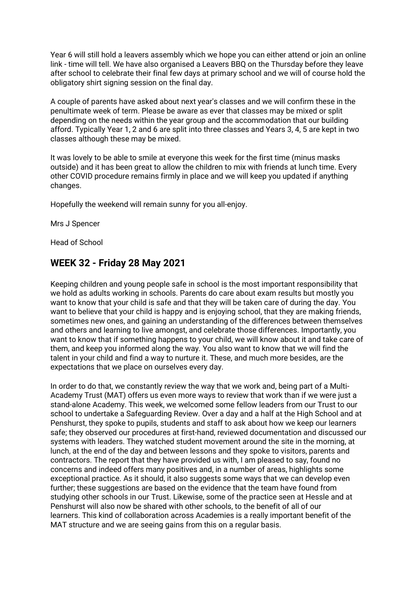Year 6 will still hold a leavers assembly which we hope you can either attend or join an online link - time will tell. We have also organised a Leavers BBQ on the Thursday before they leave after school to celebrate their final few days at primary school and we will of course hold the obligatory shirt signing session on the final day.

A couple of parents have asked about next year's classes and we will confirm these in the penultimate week of term. Please be aware as ever that classes may be mixed or split depending on the needs within the year group and the accommodation that our building afford. Typically Year 1, 2 and 6 are split into three classes and Years 3, 4, 5 are kept in two classes although these may be mixed.

It was lovely to be able to smile at everyone this week for the first time (minus masks outside) and it has been great to allow the children to mix with friends at lunch time. Every other COVID procedure remains firmly in place and we will keep you updated if anything changes.

Hopefully the weekend will remain sunny for you all-enjoy.

Mrs J Spencer

Head of School

### **WEEK 32 - Friday 28 May 2021**

Keeping children and young people safe in school is the most important responsibility that we hold as adults working in schools. Parents do care about exam results but mostly you want to know that your child is safe and that they will be taken care of during the day. You want to believe that your child is happy and is enjoying school, that they are making friends, sometimes new ones, and gaining an understanding of the differences between themselves and others and learning to live amongst, and celebrate those differences. Importantly, you want to know that if something happens to your child, we will know about it and take care of them, and keep you informed along the way. You also want to know that we will find the talent in your child and find a way to nurture it. These, and much more besides, are the expectations that we place on ourselves every day.

In order to do that, we constantly review the way that we work and, being part of a Multi-Academy Trust (MAT) offers us even more ways to review that work than if we were just a stand-alone Academy. This week, we welcomed some fellow leaders from our Trust to our school to undertake a Safeguarding Review. Over a day and a half at the High School and at Penshurst, they spoke to pupils, students and staff to ask about how we keep our learners safe; they observed our procedures at first-hand, reviewed documentation and discussed our systems with leaders. They watched student movement around the site in the morning, at lunch, at the end of the day and between lessons and they spoke to visitors, parents and contractors. The report that they have provided us with, I am pleased to say, found no concerns and indeed offers many positives and, in a number of areas, highlights some exceptional practice. As it should, it also suggests some ways that we can develop even further; these suggestions are based on the evidence that the team have found from studying other schools in our Trust. Likewise, some of the practice seen at Hessle and at Penshurst will also now be shared with other schools, to the benefit of all of our learners. This kind of collaboration across Academies is a really important benefit of the MAT structure and we are seeing gains from this on a regular basis.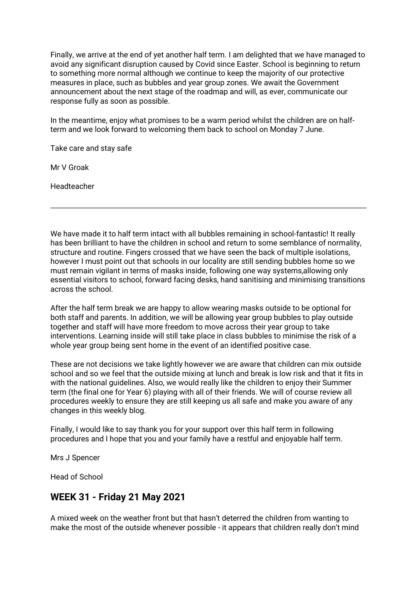Finally, we arrive at the end of yet another half term. I am delighted that we have managed to avoid any significant disruption caused by Covid since Easter. School is beginning to return to something more normal although we continue to keep the majority of our protective measures in place, such as bubbles and year group zones. We await the Government announcement about the next stage of the roadmap and will, as ever, communicate our response fully as soon as possible.

In the meantime, enjoy what promises to be a warm period whilst the children are on halfterm and we look forward to welcoming them back to school on Monday 7 June.

Take care and stay safe

Mr V Groak

Headteacher

We have made it to half term intact with all bubbles remaining in school-fantastic! It really has been brilliant to have the children in school and return to some semblance of normality, structure and routine. Fingers crossed that we have seen the back of multiple isolations, however I must point out that schools in our locality are still sending bubbles home so we must remain vigilant in terms of masks inside, following one way systems,allowing only essential visitors to school, forward facing desks, hand sanitising and minimising transitions across the school.

After the half term break we are happy to allow wearing masks outside to be optional for both staff and parents. In addition, we will be allowing year group bubbles to play outside together and staff will have more freedom to move across their year group to take interventions. Learning inside will still take place in class bubbles to minimise the risk of a whole year group being sent home in the event of an identified positive case.

These are not decisions we take lightly however we are aware that children can mix outside school and so we feel that the outside mixing at lunch and break is low risk and that it fits in with the national guidelines. Also, we would really like the children to enjoy their Summer term (the final one for Year 6) playing with all of their friends. We will of course review all procedures weekly to ensure they are still keeping us all safe and make you aware of any changes in this weekly blog.

Finally, I would like to say thank you for your support over this half term in following procedures and I hope that you and your family have a restful and enjoyable half term.

Mrs J Spencer

Head of School

#### **WEEK 31 - Friday 21 May 2021**

A mixed week on the weather front but that hasn't deterred the children from wanting to make the most of the outside whenever possible - it appears that children really don't mind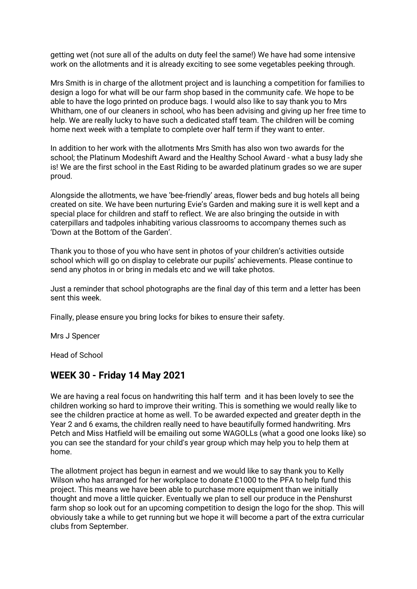getting wet (not sure all of the adults on duty feel the same!) We have had some intensive work on the allotments and it is already exciting to see some vegetables peeking through.

Mrs Smith is in charge of the allotment project and is launching a competition for families to design a logo for what will be our farm shop based in the community cafe. We hope to be able to have the logo printed on produce bags. I would also like to say thank you to Mrs Whitham, one of our cleaners in school, who has been advising and giving up her free time to help. We are really lucky to have such a dedicated staff team. The children will be coming home next week with a template to complete over half term if they want to enter.

In addition to her work with the allotments Mrs Smith has also won two awards for the school; the Platinum Modeshift Award and the Healthy School Award - what a busy lady she is! We are the first school in the East Riding to be awarded platinum grades so we are super proud.

Alongside the allotments, we have 'bee-friendly' areas, flower beds and bug hotels all being created on site. We have been nurturing Evie's Garden and making sure it is well kept and a special place for children and staff to reflect. We are also bringing the outside in with caterpillars and tadpoles inhabiting various classrooms to accompany themes such as 'Down at the Bottom of the Garden'.

Thank you to those of you who have sent in photos of your children's activities outside school which will go on display to celebrate our pupils' achievements. Please continue to send any photos in or bring in medals etc and we will take photos.

Just a reminder that school photographs are the final day of this term and a letter has been sent this week.

Finally, please ensure you bring locks for bikes to ensure their safety.

Mrs J Spencer

Head of School

### **WEEK 30 - Friday 14 May 2021**

We are having a real focus on handwriting this half term and it has been lovely to see the children working so hard to improve their writing. This is something we would really like to see the children practice at home as well. To be awarded expected and greater depth in the Year 2 and 6 exams, the children really need to have beautifully formed handwriting. Mrs Petch and Miss Hatfield will be emailing out some WAGOLLs (what a good one looks like) so you can see the standard for your child's year group which may help you to help them at home.

The allotment project has begun in earnest and we would like to say thank you to Kelly Wilson who has arranged for her workplace to donate £1000 to the PFA to help fund this project. This means we have been able to purchase more equipment than we initially thought and move a little quicker. Eventually we plan to sell our produce in the Penshurst farm shop so look out for an upcoming competition to design the logo for the shop. This will obviously take a while to get running but we hope it will become a part of the extra curricular clubs from September.